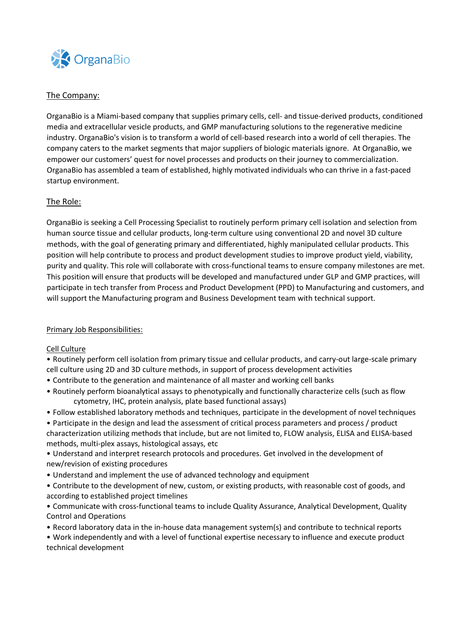

# The Company:

OrganaBio is a Miami-based company that supplies primary cells, cell- and tissue-derived products, conditioned media and extracellular vesicle products, and GMP manufacturing solutions to the regenerative medicine industry. OrganaBio's vision is to transform a world of cell-based research into a world of cell therapies. The company caters to the market segments that major suppliers of biologic materials ignore. At OrganaBio, we empower our customers' quest for novel processes and products on their journey to commercialization. OrganaBio has assembled a team of established, highly motivated individuals who can thrive in a fast-paced startup environment.

# The Role:

OrganaBio is seeking a Cell Processing Specialist to routinely perform primary cell isolation and selection from human source tissue and cellular products, long-term culture using conventional 2D and novel 3D culture methods, with the goal of generating primary and differentiated, highly manipulated cellular products. This position will help contribute to process and product development studies to improve product yield, viability, purity and quality. This role will collaborate with cross-functional teams to ensure company milestones are met. This position will ensure that products will be developed and manufactured under GLP and GMP practices, will participate in tech transfer from Process and Product Development (PPD) to Manufacturing and customers, and will support the Manufacturing program and Business Development team with technical support.

### Primary Job Responsibilities:

### Cell Culture

- Routinely perform cell isolation from primary tissue and cellular products, and carry-out large-scale primary cell culture using 2D and 3D culture methods, in support of process development activities
- Contribute to the generation and maintenance of all master and working cell banks
- Routinely perform bioanalytical assays to phenotypically and functionally characterize cells (such as flow cytometry, IHC, protein analysis, plate based functional assays)
- Follow established laboratory methods and techniques, participate in the development of novel techniques
- Participate in the design and lead the assessment of critical process parameters and process / product characterization utilizing methods that include, but are not limited to, FLOW analysis, ELISA and ELISA-based methods, multi-plex assays, histological assays, etc
- Understand and interpret research protocols and procedures. Get involved in the development of new/revision of existing procedures
- Understand and implement the use of advanced technology and equipment
- Contribute to the development of new, custom, or existing products, with reasonable cost of goods, and according to established project timelines
- Communicate with cross-functional teams to include Quality Assurance, Analytical Development, Quality Control and Operations
- Record laboratory data in the in-house data management system(s) and contribute to technical reports
- Work independently and with a level of functional expertise necessary to influence and execute product technical development